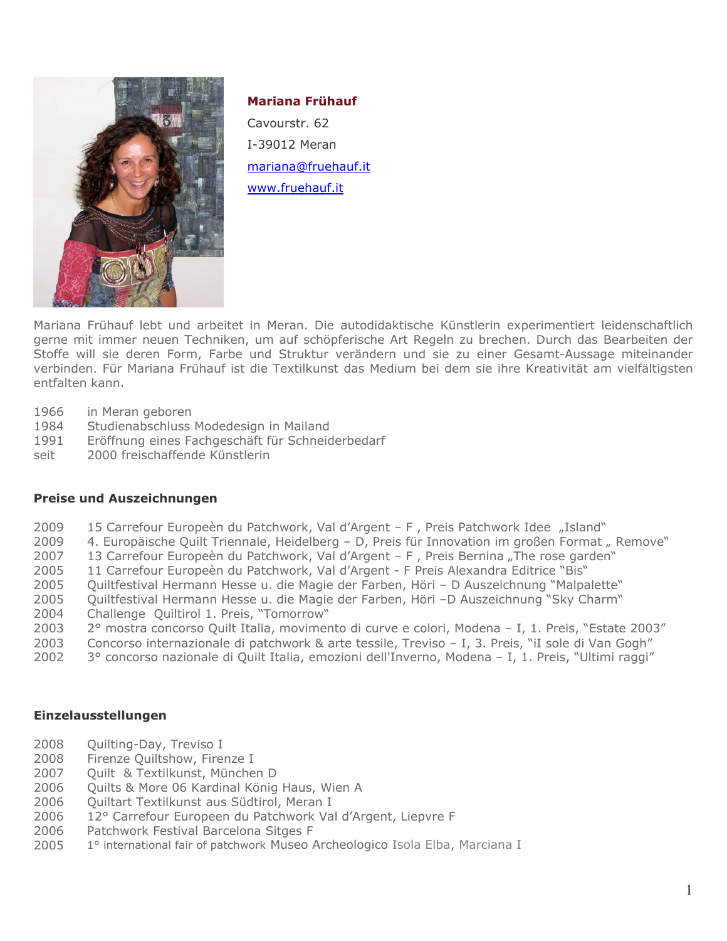

# **Mariana Frühauf**

Cavourstr. 62 I-39012 Meran [mariana@fruehauf.it](mailto:mariana@fruehauf.it) [www.fruehauf.it](http://www.fruehauf.it/)

Mariana Frühauf lebt und arbeitet in Meran. Die autodidaktische Künstlerin experimentiert leidenschaftlich gerne mit immer neuen Techniken, um auf schöpferische Art Regeln zu brechen. Durch das Bearbeiten der Stoffe will sie deren Form, Farbe und Struktur verändern und sie zu einer Gesamt-Aussage miteinander verbinden. Für Mariana Frühauf ist die Textilkunst das Medium bei dem sie ihre Kreativität am vielfältigsten entfalten kann.

- 1966 in Meran geboren
- 1984 Studienabschluss Modedesign in Mailand
- 1991 Eröffnung eines Fachgeschäft für Schneiderbedarf
- seit 2000 freischaffende Künstlerin

#### **Preise und Auszeichnungen**

- 2009 15 Carrefour Europeèn du Patchwork, Val d'Argent F, Preis Patchwork Idee "Island"
- 2009 4. Europäische Quilt Triennale, Heidelberg D, Preis für Innovation im großen Format "Remove"
- 2007 13 Carrefour Europeèn du Patchwork, Val d'Argent F, Preis Bernina "The rose garden"
- 2005 11 Carrefour Europeèn du Patchwork, Val d'Argent F Preis Alexandra Editrice "Bis"
- 2005 Quiltfestival Hermann Hesse u. die Magie der Farben, Höri D Auszeichnung "Malpalette"
- 2005 Quiltfestival Hermann Hesse u. die Magie der Farben, Höri –D Auszeichnung "Sky Charm"
- 2004 Challenge Quiltirol 1. Preis, "Tomorrow"
- 2003 2° mostra concorso Quilt Italia, movimento di curve e colori, Modena I, 1. Preis, "Estate 2003"
- 2003 Concorso internazionale di patchwork & arte tessile, Treviso I, 3. Preis, "iI sole di Van Gogh"
- 2002 3° concorso nazionale di Quilt Italia, emozioni dell'Inverno, Modena I, 1. Preis, "Ultimi raggi"

### **Einzelausstellungen**

- 2008 Quilting-Day, Treviso I<br>2008 Firenze Ouiltshow, Fire
- Firenze Quiltshow, Firenze I
- 2007 Quilt & Textilkunst, München D
- 2006 Quilts & More 06 Kardinal König Haus, Wien A
- 2006 Quiltart Textilkunst aus Südtirol, Meran I
- 2006 12° Carrefour Europeen du Patchwork Val d'Argent, Liepvre F
- 2006 Patchwork Festival Barcelona Sitges F
- 2005 1° international fair of patchwork Museo Archeologico Isola Elba, Marciana I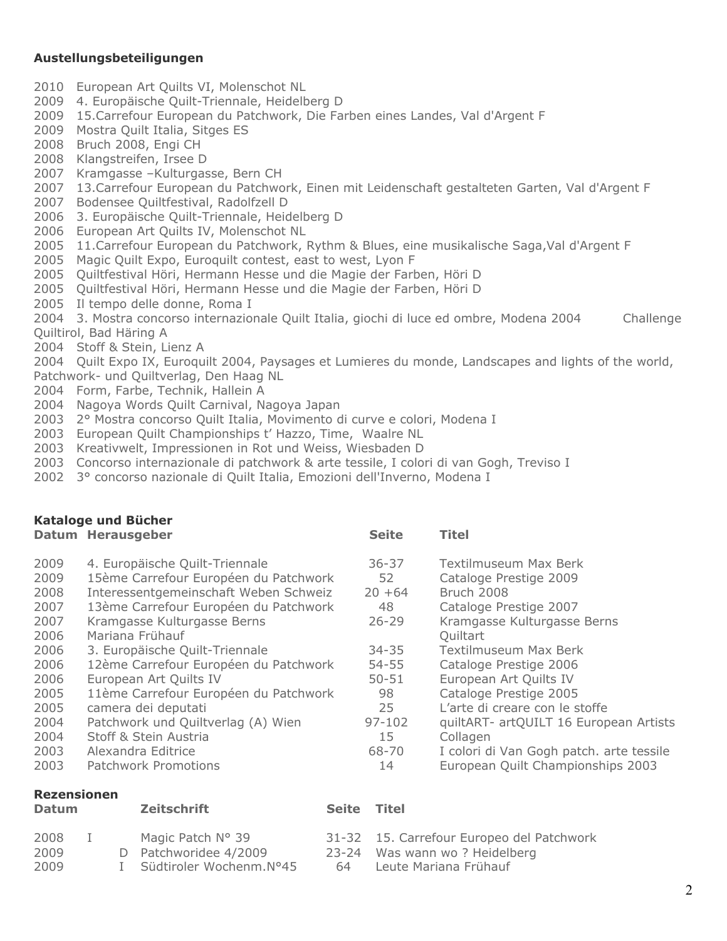## **Austellungsbeteiligungen**

- 2010 European Art Quilts VI, Molenschot NL
- 2009 4. Europäische Quilt-Triennale, Heidelberg D
- 2009 15.Carrefour European du Patchwork, Die Farben eines Landes, Val d'Argent F
- 2009 Mostra Quilt Italia, Sitges ES
- 2008 Bruch 2008, Engi CH
- 2008 Klangstreifen, Irsee D
- 2007 Kramgasse –Kulturgasse, Bern CH
- 2007 13.Carrefour European du Patchwork, Einen mit Leidenschaft gestalteten Garten, Val d'Argent F
- 2007 Bodensee Quiltfestival, Radolfzell D
- 2006 3. Europäische Quilt-Triennale, Heidelberg D
- 2006 European Art Quilts IV, Molenschot NL
- 2005 11. Carrefour European du Patchwork, Rythm & Blues, eine musikalische Saga, Val d'Argent F
- 2005 Magic Quilt Expo, Euroquilt contest, east to west, Lyon F
- 2005 Quiltfestival Höri, Hermann Hesse und die Magie der Farben, Höri D
- 2005 Quiltfestival Höri, Hermann Hesse und die Magie der Farben, Höri D
- 2005 Il tempo delle donne, Roma I
- 2004 3. Mostra concorso internazionale Quilt Italia, giochi di luce ed ombre, Modena 2004 Challenge Quiltirol, Bad Häring A
- 2004 Stoff & Stein, Lienz A
- 2004 Quilt Expo IX, Euroquilt 2004, Paysages et Lumieres du monde, Landscapes and lights of the world, Patchwork- und Quiltverlag, Den Haag NL
- 2004 Form, Farbe, Technik, Hallein A
- 2004 Nagoya Words Quilt Carnival, Nagoya Japan
- 2003 2° Mostra concorso Quilt Italia, Movimento di curve e colori, Modena I
- 2003 European Quilt Championships t' Hazzo, Time, Waalre NL
- 2003 Kreativwelt, Impressionen in Rot und Weiss, Wiesbaden D
- 2003 Concorso internazionale di patchwork & arte tessile, I colori di van Gogh, Treviso I
- 2002 3° concorso nazionale di Quilt Italia, Emozioni dell'Inverno, Modena I

| Kataloge und Bücher                                                                          |                                                                                                                                                                                                                                                                                                                                                                                                                        |                                                                                                                  |                                                                                                                                                                                                                                                                                                                              |  |  |
|----------------------------------------------------------------------------------------------|------------------------------------------------------------------------------------------------------------------------------------------------------------------------------------------------------------------------------------------------------------------------------------------------------------------------------------------------------------------------------------------------------------------------|------------------------------------------------------------------------------------------------------------------|------------------------------------------------------------------------------------------------------------------------------------------------------------------------------------------------------------------------------------------------------------------------------------------------------------------------------|--|--|
|                                                                                              | Datum Herausgeber                                                                                                                                                                                                                                                                                                                                                                                                      | <b>Seite</b>                                                                                                     | <b>Titel</b>                                                                                                                                                                                                                                                                                                                 |  |  |
| 2009<br>2009<br>2008<br>2007<br>2007<br>2006<br>2006<br>2006<br>2006<br>2005<br>2005<br>2004 | 4. Europäische Quilt-Triennale<br>15ème Carrefour Européen du Patchwork<br>Interessentgemeinschaft Weben Schweiz<br>13ème Carrefour Européen du Patchwork<br>Kramgasse Kulturgasse Berns<br>Mariana Frühauf<br>3. Europäische Quilt-Triennale<br>12ème Carrefour Européen du Patchwork<br>European Art Quilts IV<br>11ème Carrefour Européen du Patchwork<br>camera dei deputati<br>Patchwork und Quiltverlag (A) Wien | $36 - 37$<br>52<br>$20 + 64$<br>48<br>$26 - 29$<br>$34 - 35$<br>$54 - 55$<br>$50 - 51$<br>98<br>25<br>$97 - 102$ | Textilmuseum Max Berk<br>Cataloge Prestige 2009<br>Bruch 2008<br>Cataloge Prestige 2007<br>Kramgasse Kulturgasse Berns<br><b>Ouiltart</b><br>Textilmuseum Max Berk<br>Cataloge Prestige 2006<br>European Art Quilts IV<br>Cataloge Prestige 2005<br>L'arte di creare con le stoffe<br>quiltART- artQUILT 16 European Artists |  |  |
| 2004                                                                                         | Stoff & Stein Austria                                                                                                                                                                                                                                                                                                                                                                                                  | 15                                                                                                               | Collagen                                                                                                                                                                                                                                                                                                                     |  |  |
| 2003                                                                                         | Alexandra Editrice                                                                                                                                                                                                                                                                                                                                                                                                     | 68-70                                                                                                            | I colori di Van Gogh patch. arte tessile                                                                                                                                                                                                                                                                                     |  |  |
| 2003                                                                                         | Patchwork Promotions                                                                                                                                                                                                                                                                                                                                                                                                   | 14                                                                                                               | European Quilt Championships 2003                                                                                                                                                                                                                                                                                            |  |  |

### **Rezensionen**

| <b>Datum</b> |       | Zeitschrift                                | <b>Seite</b> | <b>Titel</b>                                                               |
|--------------|-------|--------------------------------------------|--------------|----------------------------------------------------------------------------|
| 2008<br>2009 | $\pm$ | Magic Patch N° 39<br>D Patchworidee 4/2009 |              | 31-32 15. Carrefour Europeo del Patchwork<br>23-24 Was wann wo? Heidelberg |
| 2009         |       | I Südtiroler Wochenm.N°45                  | 64           | Leute Mariana Frühauf                                                      |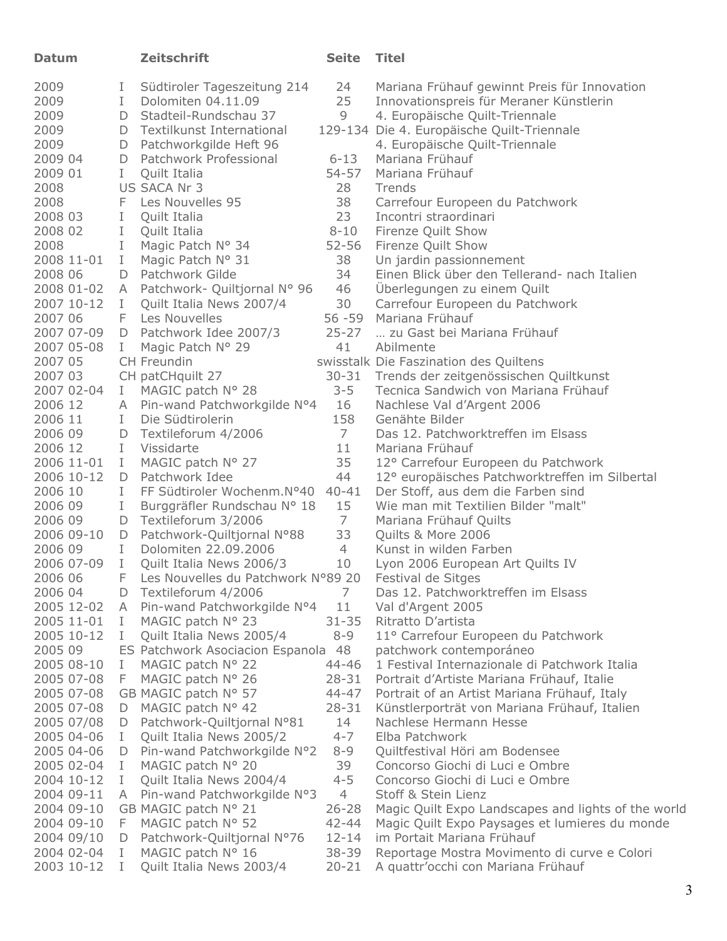| <b>Datum</b>             |              | <b>Zeitschrift</b>                               | <b>Seite</b>         | <b>Titel</b>                                              |
|--------------------------|--------------|--------------------------------------------------|----------------------|-----------------------------------------------------------|
| 2009                     | Ι.           | Südtiroler Tageszeitung 214                      | 24                   | Mariana Frühauf gewinnt Preis für Innovation              |
| 2009                     | L            | Dolomiten 04.11.09                               | 25                   | Innovationspreis für Meraner Künstlerin                   |
| 2009                     |              | D Stadteil-Rundschau 37                          | 9                    | 4. Europäische Quilt-Triennale                            |
| 2009                     |              | D Textilkunst International                      |                      | 129-134 Die 4. Europäische Quilt-Triennale                |
| 2009                     | D            | Patchworkgilde Heft 96                           |                      | 4. Europäische Quilt-Triennale                            |
| 2009 04                  | D            | Patchwork Professional                           | $6 - 13$             | Mariana Frühauf                                           |
| 2009 01                  | L            | Quilt Italia                                     | $54 - 57$            | Mariana Frühauf                                           |
| 2008                     |              | US SACA Nr 3                                     | 28                   | Trends                                                    |
| 2008                     |              | F Les Nouvelles 95                               | 38                   | Carrefour Europeen du Patchwork                           |
| 2008 03                  | L            | Quilt Italia                                     | 23                   | Incontri straordinari                                     |
| 2008 02                  | $\mathbf{I}$ | Quilt Italia                                     | $8 - 10$             | Firenze Quilt Show                                        |
| 2008                     | $\mathbf{I}$ | Magic Patch N° 34                                | $52 - 56$            | Firenze Quilt Show                                        |
| 2008 11-01               | L            | Magic Patch N° 31                                | 38                   | Un jardin passionnement                                   |
| 2008 06                  | D            | Patchwork Gilde                                  | 34                   | Einen Blick über den Tellerand- nach Italien              |
| 2008 01-02               |              | A Patchwork- Quiltjornal N° 96                   | 46                   | Uberlegungen zu einem Quilt                               |
| 2007 10-12               | L            | Quilt Italia News 2007/4                         | 30                   | Carrefour Europeen du Patchwork                           |
| 2007 06                  | F            | Les Nouvelles                                    |                      | 56 -59 Mariana Frühauf                                    |
| 2007 07-09               |              | D Patchwork Idee 2007/3                          | $25 - 27$            | zu Gast bei Mariana Frühauf                               |
| 2007 05-08               | L            | Magic Patch Nº 29                                | 41                   | Abilmente                                                 |
| 2007 05                  |              | <b>CH Freundin</b>                               |                      | swisstalk Die Faszination des Quiltens                    |
| 2007 03                  |              | CH patCHquilt 27                                 | $30 - 31$            | Trends der zeitgenössischen Quiltkunst                    |
| 2007 02-04               | L            | MAGIC patch N° 28                                | $3 - 5$              | Tecnica Sandwich von Mariana Frühauf                      |
| 2006 12                  |              | A Pin-wand Patchworkgilde N°4                    | 16                   | Nachlese Val d'Argent 2006                                |
| 2006 11                  | L            | Die Südtirolerin                                 | 158                  | Genähte Bilder                                            |
| 2006 09                  |              | D Textileforum 4/2006                            | $7\overline{ }$      | Das 12. Patchworktreffen im Elsass                        |
| 2006 12                  | L            | Vissidarte                                       | 11                   | Mariana Frühauf                                           |
| 2006 11-01               | $\mathbf{I}$ | MAGIC patch N° 27                                | 35                   | 12° Carrefour Europeen du Patchwork                       |
| 2006 10-12               |              | D Patchwork Idee                                 | 44                   | 12° europäisches Patchworktreffen im Silbertal            |
| 2006 10                  | L            | FF Südtiroler Wochenm.N°40                       | $40 - 41$            | Der Stoff, aus dem die Farben sind                        |
| 2006 09                  | L            | Burggräfler Rundschau N° 18                      | 15                   | Wie man mit Textilien Bilder "malt"                       |
| 2006 09                  |              | D Textileforum 3/2006                            | 7                    | Mariana Frühauf Quilts                                    |
| 2006 09-10               |              | D Patchwork-Quiltjornal N°88                     | 33                   | Quilts & More 2006                                        |
| 2006 09                  | L            | Dolomiten 22.09.2006                             | $\overline{4}$       | Kunst in wilden Farben                                    |
| 2006 07-09               | $\mathbf{I}$ | Quilt Italia News 2006/3                         | 10                   | Lyon 2006 European Art Quilts IV                          |
| 2006 06                  | F            | Les Nouvelles du Patchwork N°89 20               |                      | Festival de Sitges                                        |
| 2006 04                  | D            | Textileforum 4/2006                              | 7                    | Das 12. Patchworktreffen im Elsass                        |
| 2005 12-02<br>2005 11-01 | A            | Pin-wand Patchworkgilde N°4<br>MAGIC patch N° 23 | 11                   | Val d'Argent 2005                                         |
| 2005 10-12               | L<br>Ι       | Quilt Italia News 2005/4                         | $31 - 35$<br>$8 - 9$ | Ritratto D'artista<br>11° Carrefour Europeen du Patchwork |
| 2005 09                  |              | ES Patchwork Asociacion Espanola                 | 48                   | patchwork contemporáneo                                   |
| 2005 08-10               | Ι            | MAGIC patch N° 22                                | 44-46                | 1 Festival Internazionale di Patchwork Italia             |
| 2005 07-08               | F            | MAGIC patch N° 26                                | $28 - 31$            | Portrait d'Artiste Mariana Frühauf, Italie                |
| 2005 07-08               |              | GB MAGIC patch N° 57                             | $44 - 47$            | Portrait of an Artist Mariana Frühauf, Italy              |
| 2005 07-08               | D            | MAGIC patch $N^{\circ}$ 42                       | $28 - 31$            | Künstlerporträt von Mariana Frühauf, Italien              |
| 2005 07/08               | D            | Patchwork-Quiltjornal N°81                       | 14                   | Nachlese Hermann Hesse                                    |
| 2005 04-06               | I.           | Quilt Italia News 2005/2                         | $4 - 7$              | Elba Patchwork                                            |
| 2005 04-06               | D            | Pin-wand Patchworkgilde N°2                      | $8 - 9$              | Quiltfestival Höri am Bodensee                            |
| 2005 02-04               | I.           | MAGIC patch N° 20                                | 39                   | Concorso Giochi di Luci e Ombre                           |
| 2004 10-12               | I.           | Quilt Italia News 2004/4                         | $4 - 5$              | Concorso Giochi di Luci e Ombre                           |
| 2004 09-11               | A            | Pin-wand Patchworkgilde N°3                      | $\overline{4}$       | Stoff & Stein Lienz                                       |
| 2004 09-10               |              | GB MAGIC patch N° 21                             | $26 - 28$            | Magic Quilt Expo Landscapes and lights of the world       |
| 2004 09-10               | F            | MAGIC patch N° 52                                | $42 - 44$            | Magic Quilt Expo Paysages et lumieres du monde            |
| 2004 09/10               | D            | Patchwork-Quiltjornal N°76                       | $12 - 14$            | im Portait Mariana Frühauf                                |
| 2004 02-04               | Ι.           | MAGIC patch N° 16                                | 38-39                | Reportage Mostra Movimento di curve e Colori              |
| 2003 10-12               | L            | Quilt Italia News 2003/4                         | $20 - 21$            | A quattr'occhi con Mariana Frühauf                        |